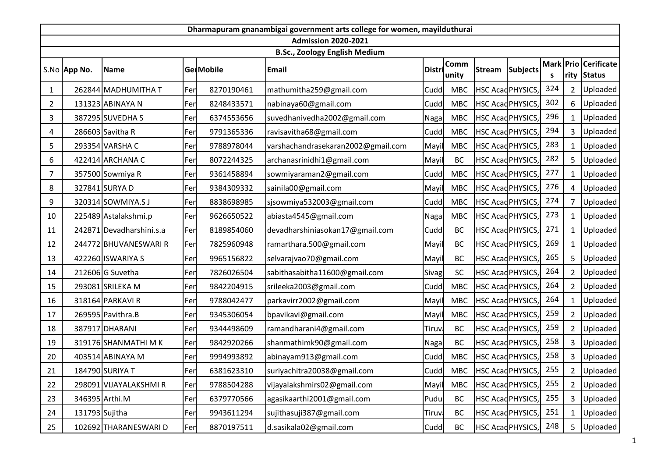|    |                                                              |                          |     |                   | Dharmapuram gnanambigai government arts college for women, mayilduthurai |                  |               |  |                          |     |                |             |  |  |
|----|--------------------------------------------------------------|--------------------------|-----|-------------------|--------------------------------------------------------------------------|------------------|---------------|--|--------------------------|-----|----------------|-------------|--|--|
|    | <b>Admission 2020-2021</b>                                   |                          |     |                   |                                                                          |                  |               |  |                          |     |                |             |  |  |
|    | <b>B.Sc., Zoology English Medium</b><br>Mark Prio Cerificate |                          |     |                   |                                                                          |                  |               |  |                          |     |                |             |  |  |
|    | S.No App No.                                                 | <b>Name</b>              |     | <b>Gel Mobile</b> | Email                                                                    | Distri           | Comm<br>unity |  | Stream Subjects          | S   |                | rity Status |  |  |
| 1  |                                                              | 262844 MADHUMITHA T      | Fer | 8270190461        | mathumitha259@gmail.com                                                  | <b>Cudd</b>      | MBC           |  | <b>HSC Acad PHYSICS,</b> | 324 | 2              | Uploaded    |  |  |
| 2  |                                                              | 131323 ABINAYA N         | Fer | 8248433571        | nabinaya60@gmail.com                                                     | Cudd <sub></sub> | <b>MBC</b>    |  | <b>HSC Acad PHYSICS,</b> | 302 | 6              | Uploaded    |  |  |
| 3  |                                                              | 387295 SUVEDHA S         | Fer | 6374553656        | suvedhanivedha2002@gmail.com                                             | Naga             | <b>MBC</b>    |  | HSC Acad PHYSICS,        | 296 | 1              | Uploaded    |  |  |
| 4  |                                                              | 286603 Savitha R         | Fer | 9791365336        | ravisavitha68@gmail.com                                                  | Cudd <sub></sub> | <b>MBC</b>    |  | HSC Acad PHYSICS,        | 294 | 3              | Uploaded    |  |  |
| 5  |                                                              | 293354 VARSHA C          | Fer | 9788978044        | varshachandrasekaran2002@gmail.com                                       | Mayi             | <b>MBC</b>    |  | HSC Acad PHYSICS,        | 283 | 1              | Uploaded    |  |  |
| 6  |                                                              | 422414 ARCHANA C         | Fer | 8072244325        | archanasrinidhi1@gmail.com                                               | Mayi             | BC            |  | HSC Acad PHYSICS,        | 282 | 5              | Uploaded    |  |  |
| 7  |                                                              | 357500 Sowmiya R         | Fer | 9361458894        | sowmiyaraman2@gmail.com                                                  | Cudd <sub></sub> | <b>MBC</b>    |  | HSC Acad PHYSICS,        | 277 | 1              | Uploaded    |  |  |
| 8  |                                                              | 327841 SURYA D           | Fer | 9384309332        | sainila00@gmail.com                                                      | Mayi             | <b>MBC</b>    |  | HSC Acad PHYSICS,        | 276 | Δ              | Uploaded    |  |  |
| 9  |                                                              | 320314 SOWMIYA.SJ        | Fer | 8838698985        | sjsowmiya532003@gmail.com                                                | Cudd.            | <b>MBC</b>    |  | HSC Acad PHYSICS,        | 274 |                | Uploaded    |  |  |
| 10 |                                                              | 225489 Astalakshmi.p     | Fer | 9626650522        | abiasta4545@gmail.com                                                    | Naga             | <b>MBC</b>    |  | HSC Acad PHYSICS,        | 273 | 1              | Uploaded    |  |  |
| 11 |                                                              | 242871 Devadharshini.s.a | Fer | 8189854060        | devadharshiniasokan17@gmail.com                                          | Cudd <sub></sub> | BC            |  | HSC Acad PHYSICS,        | 271 | 1              | Uploaded    |  |  |
| 12 |                                                              | 244772 BHUVANESWARI R    | Fer | 7825960948        | ramarthara.500@gmail.com                                                 | Mayi             | BC            |  | HSC Acad PHYSICS,        | 269 | 1              | Uploaded    |  |  |
| 13 |                                                              | 422260 ISWARIYA S        | Fer | 9965156822        | selvarajvao70@gmail.com                                                  | Mayi             | BC            |  | HSC Acad PHYSICS,        | 265 | 5              | Uploaded    |  |  |
| 14 |                                                              | 212606 G Suvetha         | Fer | 7826026504        | sabithasabitha11600@gmail.com                                            | Sivagi           | SC            |  | HSC Acad PHYSICS,        | 264 | $\overline{2}$ | Uploaded    |  |  |
| 15 |                                                              | 293081 SRILEKA M         | Fer | 9842204915        | srileeka2003@gmail.com                                                   | Cudd <sub></sub> | <b>MBC</b>    |  | HSC Acad PHYSICS,        | 264 | $\overline{2}$ | Uploaded    |  |  |
| 16 |                                                              | 318164 PARKAVI R         | Fer | 9788042477        | parkavirr2002@gmail.com                                                  | Mayi             | <b>MBC</b>    |  | HSC Acad PHYSICS,        | 264 | -1             | Uploaded    |  |  |
| 17 |                                                              | 269595 Pavithra.B        | Fer | 9345306054        | bpavikavi@gmail.com                                                      | Mayi             | <b>MBC</b>    |  | HSC Acad PHYSICS,        | 259 | $\overline{2}$ | Uploaded    |  |  |
| 18 |                                                              | 387917 DHARANI           | Fer | 9344498609        | ramandharani4@gmail.com                                                  | Tiruva           | <b>BC</b>     |  | HSC Acad PHYSICS,        | 259 | $\overline{2}$ | Uploaded    |  |  |
| 19 |                                                              | 319176 SHANMATHI MK      | Fer | 9842920266        | shanmathimk90@gmail.com                                                  | Naga             | BC            |  | HSC Acad PHYSICS,        | 258 | 3              | Uploaded    |  |  |
| 20 |                                                              | 403514 ABINAYA M         | Fer | 9994993892        | abinayam913@gmail.com                                                    | Cudd <sub></sub> | <b>MBC</b>    |  | HSC Acad PHYSICS,        | 258 | 3              | Uploaded    |  |  |
| 21 |                                                              | 184790 SURIYA T          | Fer | 6381623310        | suriyachitra20038@gmail.com                                              | <b>Cudd</b>      | <b>MBC</b>    |  | <b>HSC Acad PHYSICS,</b> | 255 | $\overline{2}$ | Uploaded    |  |  |
| 22 |                                                              | 298091 VIJAYALAKSHMIR    | Fer | 9788504288        | vijayalakshmirs02@gmail.com                                              | Mayi             | <b>MBC</b>    |  | <b>HSC Acad PHYSICS,</b> | 255 | $\overline{2}$ | Uploaded    |  |  |
| 23 |                                                              | 346395 Arthi.M           | Fer | 6379770566        | agasikaarthi2001@gmail.com                                               | Pudu             | <b>BC</b>     |  | HSC Acad PHYSICS,        | 255 | 3              | Uploaded    |  |  |
| 24 | 131793 Sujitha                                               |                          | Fer | 9943611294        | sujithasuji387@gmail.com                                                 | <b>Tiruv</b>     | BC            |  | HSC Acad PHYSICS,        | 251 | 1              | Uploaded    |  |  |
| 25 |                                                              | 102692 THARANESWARI D    | Fer | 8870197511        | d.sasikala02@gmail.com                                                   | <b>Cudd</b>      | BC            |  | HSC Acad PHYSICS,        | 248 | 5              | Uploaded    |  |  |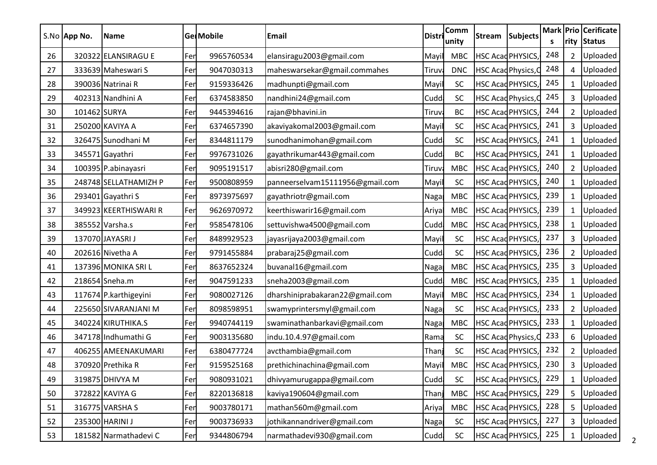|    | S.No App No. | <b>Name</b>           |     | Ge Mobile  | Email                           | <b>Distri</b>    | <b>Comm</b><br>unity | Stream Subjects     | S   |                | Mark Prio Cerificate<br>rity Status |  |
|----|--------------|-----------------------|-----|------------|---------------------------------|------------------|----------------------|---------------------|-----|----------------|-------------------------------------|--|
| 26 |              | 320322 ELANSIRAGU E   | Fer | 9965760534 | elansiragu2003@gmail.com        | Mayil            | <b>MBC</b>           | HSC Acad PHYSICS,   | 248 | 2              | Uploaded                            |  |
| 27 |              | 333639 Maheswari S    | Fer | 9047030313 | maheswarsekar@gmail.commahes    | Tiruva           | <b>DNC</b>           | HSC Acad Physics, C | 248 | 4              | Uploaded                            |  |
| 28 |              | 390036 Natrinai R     | Fer | 9159336426 | madhunpti@gmail.com             | Mayil            | SC                   | HSC Acad PHYSICS,   | 245 | -1             | Uploaded                            |  |
| 29 |              | 402313 Nandhini A     | Fer | 6374583850 | nandhini24@gmail.com            | Cudd             | SC                   | HSC Acad Physics, C | 245 | 3              | Uploaded                            |  |
| 30 | 101462 SURYA |                       | Fer | 9445394616 | rajan@bhavini.in                | Tiruv            | <b>BC</b>            | HSC Acad PHYSICS,   | 244 | $\overline{2}$ | Uploaded                            |  |
| 31 |              | 250200 KAVIYA A       | Fer | 6374657390 | akaviyakomal2003@gmail.com      | Mayil            | SC                   | HSC Acad PHYSICS,   | 241 | 3              | Uploaded                            |  |
| 32 |              | 326475 Sunodhani M    | Fer | 8344811179 | sunodhanimohan@gmail.com        | Cudd             | SC                   | HSC Acad PHYSICS,   | 241 | 1              | Uploaded                            |  |
| 33 |              | 345571 Gayathri       | Fer | 9976731026 | gayathrikumar443@gmail.com      | Cudd             | <b>BC</b>            | HSC Acad PHYSICS,   | 241 | 1              | Uploaded                            |  |
| 34 |              | 100395 P.abinayasri   | Fer | 9095191517 | abisri280@gmail.com             | Tiruvi           | <b>MBC</b>           | HSC Acad PHYSICS,   | 240 | $\overline{2}$ | Uploaded                            |  |
| 35 |              | 248748 SELLATHAMIZH P | Fer | 9500808959 | panneerselvam15111956@gmail.com | Mayil            | SC                   | HSC Acad PHYSICS,   | 240 | 1              | Uploaded                            |  |
| 36 |              | 293401 Gayathri S     | Fer | 8973975697 | gayathriotr@gmail.com           | Naga             | <b>MBC</b>           | HSC Acad PHYSICS,   | 239 | $\mathbf{1}$   | Uploaded                            |  |
| 37 |              | 349923 KEERTHISWARI R | Fer | 9626970972 | keerthiswarir16@gmail.com       | Ariyal           | <b>MBC</b>           | HSC Acad PHYSICS,   | 239 | 1              | Uploaded                            |  |
| 38 |              | 385552 Varsha.s       | Fer | 9585478106 | settuvishwa4500@gmail.com       | Cudd.            | <b>MBC</b>           | HSC Acad PHYSICS,   | 238 | 1              | Uploaded                            |  |
| 39 |              | 137070 JAYASRI J      | Fer | 8489929523 | jayasrijaya2003@gmail.com       | Mayil            | SC                   | HSC Acad PHYSICS,   | 237 | 3              | Uploaded                            |  |
| 40 |              | 202616 Nivetha A      | Fer | 9791455884 | prabaraj25@gmail.com            | Cudd             | SC                   | HSC Acad PHYSICS,   | 236 | $\overline{2}$ | Uploaded                            |  |
| 41 |              | 137396 MONIKA SRI L   | Fer | 8637652324 | buvanal16@gmail.com             | Naga             | <b>MBC</b>           | HSC Acad PHYSICS,   | 235 | 3              | Uploaded                            |  |
| 42 |              | 218654 Sneha.m        | Fer | 9047591233 | sneha2003@gmail.com             | Cudd.            | <b>MBC</b>           | HSC Acad PHYSICS,   | 235 | 1              | Uploaded                            |  |
| 43 |              | 117674 P.karthigeyini | Fer | 9080027126 | dharshiniprabakaran22@gmail.com | Mayil            | <b>MBC</b>           | HSC Acad PHYSICS,   | 234 | 1              | Uploaded                            |  |
| 44 |              | 225650 SIVARANJANI M  | Fer | 8098598951 | swamyprintersmyl@gmail.com      | Naga             | SC                   | HSC Acad PHYSICS,   | 233 | $\overline{2}$ | Uploaded                            |  |
| 45 |              | 340224 KIRUTHIKA.S    | Fer | 9940744119 | swaminathanbarkavi@gmail.com    | Naga             | <b>MBC</b>           | HSC Acad PHYSICS,   | 233 | 1              | Uploaded                            |  |
| 46 |              | 347178 Indhumathi G   | Fer | 9003135680 | indu.10.4.97@gmail.com          | Rama             | SC                   | HSC Acad Physics, C | 233 | 6              | Uploaded                            |  |
| 47 |              | 406255 AMEENAKUMARI   | Fer | 6380477724 | avcthambia@gmail.com            | Thanj            | SC                   | HSC Acad PHYSICS,   | 232 | $\overline{2}$ | Uploaded                            |  |
| 48 |              | 370920 Prethika R     | Fer | 9159525168 | prethichinachina@gmail.com      | Mayil            | <b>MBC</b>           | HSC Acad PHYSICS,   | 230 | 3              | Uploaded                            |  |
| 49 |              | 319875 DHIVYA M       | Fer | 9080931021 | dhivyamurugappa@gmail.com       | Cudd             | SC                   | HSC Acad PHYSICS,   | 229 | $\mathbf{1}$   | Uploaded                            |  |
| 50 |              | 372822 KAVIYA G       | Fer | 8220136818 | kaviya190604@gmail.com          | Thanj            | <b>MBC</b>           | HSC Acad PHYSICS,   | 229 | 5              | Uploaded                            |  |
| 51 |              | 316775 VARSHA S       | Fer | 9003780171 | mathan560m@gmail.com            | Ariyal           | MBC                  | HSC Acad PHYSICS,   | 228 | 5              | Uploaded                            |  |
| 52 |              | 235300 HARINI J       | Fer | 9003736933 | jothikannandriver@gmail.com     | Naga             | SC                   | HSC Acad PHYSICS,   | 227 | 3              | Uploaded                            |  |
| 53 |              | 181582 Narmathadevi C | Fer | 9344806794 | narmathadevi930@gmail.com       | Cudd <sub></sub> | <b>SC</b>            | HSC Acad PHYSICS,   | 225 | $\mathbf{1}$   | Uploaded<br>$\overline{2}$          |  |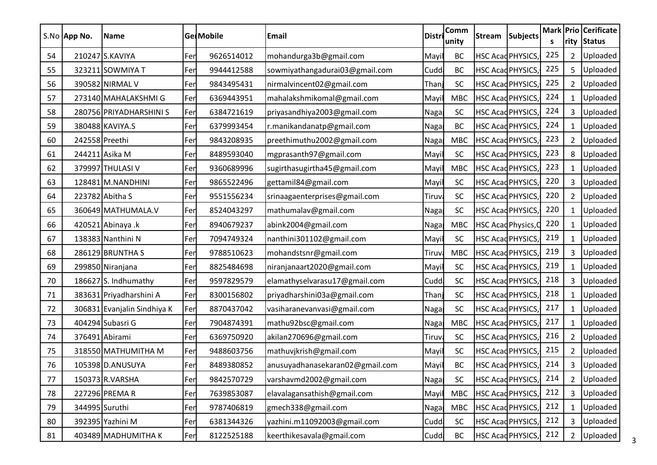|    | S.No App No.   | <b>Name</b>                 |     | Ge Mobile  | Email                           | <b>Distri</b> | <b>Comm</b><br>unity | <b>Stream</b> | <b>Subjects</b>     | S   |                | Mark Prio Cerificate<br>rity Status |
|----|----------------|-----------------------------|-----|------------|---------------------------------|---------------|----------------------|---------------|---------------------|-----|----------------|-------------------------------------|
| 54 |                | 210247 S.KAVIYA             | Fer | 9626514012 | mohandurga3b@gmail.com          | Mayil         | BC                   |               | HSC Acad PHYSICS,   | 225 | 2              | Uploaded                            |
| 55 |                | 323211 SOWMIYA T            | Fer | 9944412588 | sowmiyathangadurai03@gmail.com  | Cudd          | BC                   |               | HSC Acad PHYSICS,   | 225 | 5              | Uploaded                            |
| 56 |                | 390582 NIRMAL V             | Fer | 9843495431 | nirmalvincent02@gmail.com       | Thanj         | SC                   |               | HSC Acad PHYSICS,   | 225 | 2              | Uploaded                            |
| 57 |                | 273140 MAHALAKSHMI G        | Fer | 6369443951 | mahalakshmikomal@gmail.com      | Mayil         | <b>MBC</b>           |               | HSC Acad PHYSICS,   | 224 |                | Uploaded                            |
| 58 |                | 280756 PRIYADHARSHINI S     | Fer | 6384721619 | priyasandhiya2003@gmail.com     | Naga          | SC                   |               | HSC Acad PHYSICS,   | 224 | 3              | Uploaded                            |
| 59 |                | 380488 KAVIYA.S             | Fer | 6379993454 | r.manikandanatp@gmail.com       | Naga          | BC                   |               | HSC Acad PHYSICS,   | 224 |                | Uploaded                            |
| 60 | 242558 Preethi |                             | Fer | 9843208935 | preethimuthu2002@gmail.com      | Naga          | <b>MBC</b>           |               | HSC Acad PHYSICS,   | 223 | $\mathcal{P}$  | Uploaded                            |
| 61 |                | 244211 Asika M              | Fer | 8489593040 | mgprasanth97@gmail.com          | Mayil         | SC                   |               | HSC Acad PHYSICS,   | 223 | 8              | Uploaded                            |
| 62 |                | 379997 THULASI V            | Fer | 9360689996 | sugirthasugirtha45@gmail.com    | Mayil         | <b>MBC</b>           |               | HSC Acad PHYSICS,   | 223 |                | Uploaded                            |
| 63 |                | 128481 M.NANDHINI           | Fer | 9865522496 | gettamil84@gmail.com            | Mayil         | SC                   |               | HSC Acad PHYSICS,   | 220 | 3              | Uploaded                            |
| 64 |                | 223782 Abitha S             | Fer | 9551556234 | srinaagaenterprises@gmail.com   | Tiruv         | SC                   |               | HSC Acad PHYSICS,   | 220 | $\mathcal{P}$  | Uploaded                            |
| 65 |                | 360649 MATHUMALA.V          | Fer | 8524043297 | mathumalav@gmail.com            | Naga          | SC                   |               | HSC Acad PHYSICS,   | 220 |                | Uploaded                            |
| 66 |                | 420521 Abinaya .k           | Fer | 8940679237 | abink2004@gmail.com             | Naga          | <b>MBC</b>           |               | HSC Acad Physics, C | 220 |                | Uploaded                            |
| 67 |                | 138383 Nanthini N           | Fer | 7094749324 | nanthini301102@gmail.com        | Mayil         | SC                   |               | HSC Acad PHYSICS,   | 219 |                | Uploaded                            |
| 68 |                | 286129 BRUNTHA S            | Fer | 9788510623 | mohandstsnr@gmail.com           | Tiruvi        | <b>MBC</b>           |               | HSC Acad PHYSICS,   | 219 | 3              | Uploaded                            |
| 69 |                | 299850 Niranjana            | Fer | 8825484698 | niranjanaart2020@gmail.com      | Mayil         | SC                   |               | HSC Acad PHYSICS,   | 219 | $\mathbf 1$    | Uploaded                            |
| 70 |                | 186627 S. Indhumathy        | Fer | 9597829579 | elamathyselvarasu17@gmail.com   | Cudd          | SC                   |               | HSC Acad PHYSICS,   | 218 | 3              | Uploaded                            |
| 71 |                | 383631 Priyadharshini A     | Fer | 8300156802 | priyadharshini03a@gmail.com     | Thanj         | SC                   |               | HSC Acad PHYSICS,   | 218 | 1              | Uploaded                            |
| 72 |                | 306831 Evanjalin Sindhiya K | Fer | 8870437042 | vasiharanevanvasi@gmail.com     | Naga          | SC                   |               | HSC Acad PHYSICS,   | 217 | 1              | Uploaded                            |
| 73 |                | 404294 Subasri G            | Fer | 7904874391 | mathu92bsc@gmail.com            | Naga          | <b>MBC</b>           |               | HSC Acad PHYSICS,   | 217 | 1              | Uploaded                            |
| 74 |                | 376491 Abirami              | Fer | 6369750920 | akilan270696@gmail.com          | <b>Tiruv</b>  | SC                   |               | HSC Acad PHYSICS,   | 216 | 2              | Uploaded                            |
| 75 |                | 318550 MATHUMITHA M         | Fer | 9488603756 | mathuvjkrish@gmail.com          | Mayil         | SC                   |               | HSC Acad PHYSICS,   | 215 | $\overline{2}$ | Uploaded                            |
| 76 |                | 105398 D.ANUSUYA            | Fer | 8489380852 | anusuyadhanasekaran02@gmail.com | Mayil         | BC                   |               | HSC Acad PHYSICS,   | 214 | 3              | Uploaded                            |
| 77 |                | 150373 R.VARSHA             | Fer | 9842570729 | varshavmd2002@gmail.com         | Naga          | SC                   |               | HSC Acad PHYSICS,   | 214 | $\overline{2}$ | Uploaded                            |
| 78 |                | 227296 PREMAR               | Fer | 7639853087 | elavalagansathish@gmail.com     | Mayil         | <b>MBC</b>           |               | HSC Acad PHYSICS,   | 212 | 3              | Uploaded                            |
| 79 | 344995 Suruthi |                             | Fer | 9787406819 | gmech338@gmail.com              | Naga          | <b>MBC</b>           |               | HSC Acad PHYSICS,   | 212 | $\mathbf{1}$   | Uploaded                            |
| 80 |                | 392395 Yazhini M            | Fer | 6381344326 | yazhini.m11092003@gmail.com     | Cudd          | SC                   |               | HSC Acad PHYSICS,   | 212 | 3              | Uploaded                            |
| 81 |                | 403489 MADHUMITHA K         | Fer | 8122525188 | keerthikesavala@gmail.com       | Cudd.         | BC                   |               | HSC Acad PHYSICS,   | 212 | $\overline{2}$ | Uploaded<br>3                       |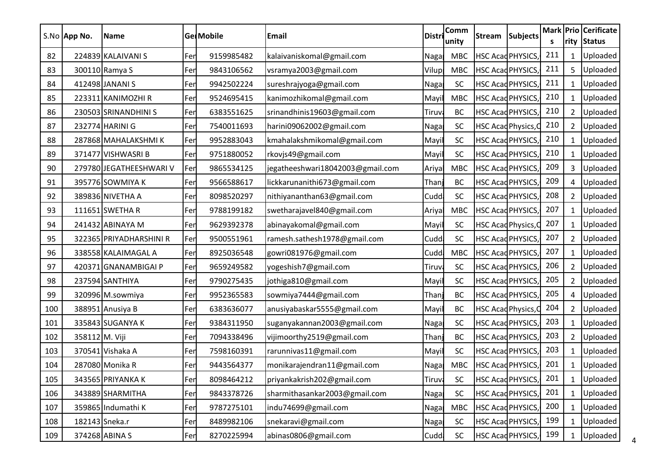|     | S.No App No.   | <b>Name</b>             |     | <b>GerMobile</b> | Email                            | <b>Distri</b>  | <b>Comm</b><br>unity | Stream Subjects     | S   |                | Mark Prio Cerificate<br>rity Status |  |
|-----|----------------|-------------------------|-----|------------------|----------------------------------|----------------|----------------------|---------------------|-----|----------------|-------------------------------------|--|
| 82  |                | 224839 KALAIVANI S      | Fer | 9159985482       | kalaivaniskomal@gmail.com        | Naga           | <b>MBC</b>           | HSC Acad PHYSICS,   | 211 | 1              | Uploaded                            |  |
| 83  |                | 300110 Ramya S          | Fer | 9843106562       | vsramya2003@gmail.com            | Vilup          | <b>MBC</b>           | HSC Acad PHYSICS,   | 211 | 5              | Uploaded                            |  |
| 84  |                | 412498 JANANI S         | Fer | 9942502224       | sureshrajyoga@gmail.com          | Naga           | SC                   | HSC Acad PHYSICS,   | 211 | 1              | Uploaded                            |  |
| 85  |                | 223311 KANIMOZHI R      | Fer | 9524695415       | kanimozhikomal@gmail.com         | Mayil          | <b>MBC</b>           | HSC Acad PHYSICS,   | 210 |                | Uploaded                            |  |
| 86  |                | 230503 SRINANDHINI S    | Fer | 6383551625       | srinandhinis19603@gmail.com      | <b>Tiruvi</b>  | BC                   | HSC Acad PHYSICS,   | 210 | $\overline{2}$ | Uploaded                            |  |
| 87  |                | 232774 HARINI G         | Fer | 7540011693       | harini09062002@gmail.com         | Naga           | SC                   | HSC Acad Physics, C | 210 | $\overline{2}$ | Uploaded                            |  |
| 88  |                | 287868 MAHALAKSHMIK     | Fer | 9952883043       | kmahalakshmikomal@gmail.com      | Mayil          | SC                   | HSC Acad PHYSICS,   | 210 | 1              | Uploaded                            |  |
| 89  |                | 371477 VISHWASRI B      | Fer | 9751880052       | rkovjs49@gmail.com               | Mayil          | SC                   | HSC Acad PHYSICS,   | 210 |                | Uploaded                            |  |
| 90  |                | 279780 JEGATHEESHWARI V | Fer | 9865534125       | jegatheeshwari18042003@gmail.com | Ariyal         | <b>MBC</b>           | HSC Acad PHYSICS,   | 209 | 3              | Uploaded                            |  |
| 91  |                | 395776 SOWMIYA K        | Fer | 9566588617       | lickkarunanithi673@gmail.com     | Thanj          | <b>BC</b>            | HSC Acad PHYSICS,   | 209 | 4              | Uploaded                            |  |
| 92  |                | 389836 NIVETHA A        | Fer | 8098520297       | nithiyananthan63@gmail.com       | Cudd           | SC                   | HSC Acad PHYSICS,   | 208 | $\overline{2}$ | Uploaded                            |  |
| 93  |                | 111651 SWETHA R         | Fer | 9788199182       | swetharajavel840@gmail.com       | Ariyal         | <b>MBC</b>           | HSC Acad PHYSICS,   | 207 | $\mathbf{1}$   | Uploaded                            |  |
| 94  |                | 241432 ABINAYA M        | Fer | 9629392378       | abinayakomal@gmail.com           | Mayil          | SC                   | HSC Acad Physics, C | 207 | 1              | Uploaded                            |  |
| 95  |                | 322365 PRIYADHARSHINI R | Fer | 9500551961       | ramesh.sathesh1978@gmail.com     | Cudd           | SC                   | HSC Acad PHYSICS,   | 207 | $\overline{2}$ | Uploaded                            |  |
| 96  |                | 338558 KALAIMAGAL A     | Fer | 8925036548       | gowri081976@gmail.com            | Cudd.          | <b>MBC</b>           | HSC Acad PHYSICS,   | 207 | 1              | Uploaded                            |  |
| 97  |                | 420371 GNANAMBIGAI P    | Fer | 9659249582       | yogeshish7@gmail.com             | Tiruv          | SC                   | HSC Acad PHYSICS,   | 206 | $\overline{2}$ | Uploaded                            |  |
| 98  |                | 237594 SANTHIYA         | Fer | 9790275435       | jothiga810@gmail.com             | Mayil          | SC                   | HSC Acad PHYSICS,   | 205 | $\overline{2}$ | Uploaded                            |  |
| 99  |                | 320996 M.sowmiya        | Fer | 9952365583       | sowmiya7444@gmail.com            | Thanj          | <b>BC</b>            | HSC Acad PHYSICS,   | 205 | 4              | Uploaded                            |  |
| 100 |                | 388951 Anusiya B        | Fer | 6383636077       | anusiyabaskar5555@gmail.com      | Mayil          | <b>BC</b>            | HSC Acad Physics, C | 204 | 2              | Uploaded                            |  |
| 101 |                | 335843 SUGANYA K        | Fer | 9384311950       | suganyakannan2003@gmail.com      | Naga           | SC                   | HSC Acad PHYSICS,   | 203 | 1              | Uploaded                            |  |
| 102 | 358112 M. Viji |                         | Fer | 7094338496       | vijimoorthy2519@gmail.com        | Than           | <b>BC</b>            | HSC Acad PHYSICS,   | 203 | $\overline{2}$ | Uploaded                            |  |
| 103 |                | 370541 Vishaka A        | Fer | 7598160391       | rarunnivas11@gmail.com           | Mayil          | SC                   | HSC Acad PHYSICS,   | 203 | -1             | Uploaded                            |  |
| 104 |                | 287080 Monika R         | Fer | 9443564377       | monikarajendran11@gmail.com      | Naga           | <b>MBC</b>           | HSC Acad PHYSICS,   | 201 | 1              | Uploaded                            |  |
| 105 |                | 343565 PRIYANKA K       | Fer | 8098464212       | priyankakrish202@gmail.com       | Tiruva         | SC                   | HSC Acad PHYSICS,   | 201 | $\mathbf{1}$   | Uploaded                            |  |
| 106 |                | 343889 SHARMITHA        | Fer | 9843378726       | sharmithasankar2003@gmail.com    | Naga           | SC                   | HSC Acad PHYSICS,   | 201 | $\mathbf{1}$   | Uploaded                            |  |
| 107 |                | 359865 Indumathi K      | Fer | 9787275101       | indu74699@gmail.com              | Naga           | <b>MBC</b>           | HSC Acad PHYSICS,   | 200 | 1              | Uploaded                            |  |
| 108 | 182143 Sneka.r |                         | Fer | 8489982106       | snekaravi@gmail.com              | Naga           | SC                   | HSC Acad PHYSICS,   | 199 | $\mathbf{1}$   | Uploaded                            |  |
| 109 |                | 374268 ABINA S          | Fer | 8270225994       | abinas0806@gmail.com             | Cudd <b>by</b> | <b>SC</b>            | HSC Acad PHYSICS,   | 199 | $\mathbf{1}$   | Uploaded                            |  |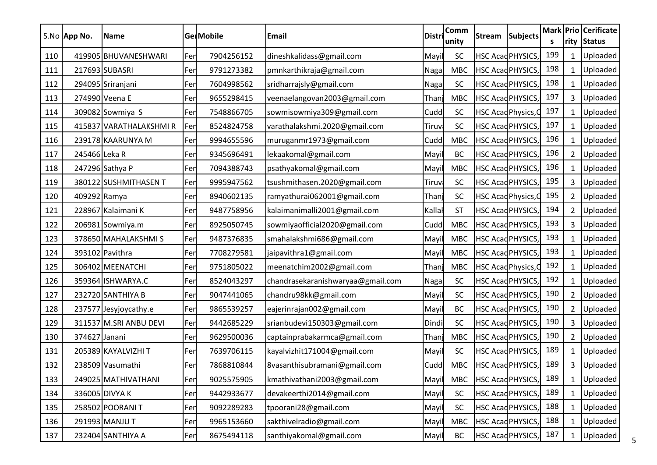|     | S.No App No.  | <b>Name</b>            |     | Ge Mobile  | Email                             | <b>Distri</b> | <b>Comm</b><br>unity | Stream Subjects     | S   |                | Mark Prio Cerificate<br>rity Status |   |
|-----|---------------|------------------------|-----|------------|-----------------------------------|---------------|----------------------|---------------------|-----|----------------|-------------------------------------|---|
| 110 |               | 419905 BHUVANESHWARI   | Fer | 7904256152 | dineshkalidass@gmail.com          | Mayil         | SC                   | HSC Acad PHYSICS,   | 199 | 1              | Uploaded                            |   |
| 111 |               | 217693 SUBASRI         | Fer | 9791273382 | pmnkarthikraja@gmail.com          | Naga          | <b>MBC</b>           | HSC Acad PHYSICS,   | 198 |                | Uploaded                            |   |
| 112 |               | 294095 Sriranjani      | Fer | 7604998562 | sridharrajsly@gmail.com           | Naga          | SC                   | HSC Acad PHYSICS,   | 198 | 1              | Uploaded                            |   |
| 113 |               | 274990 Veena E         | Fer | 9655298415 | veenaelangovan2003@gmail.com      | Thanj         | <b>MBC</b>           | HSC Acad PHYSICS,   | 197 | 3              | Uploaded                            |   |
| 114 |               | 309082 Sowmiya S       | Fer | 7548866705 | sowmisowmiya309@gmail.com         | Cudd          | SC                   | HSC Acad Physics, C | 197 | 1              | Uploaded                            |   |
| 115 |               | 415837 VARATHALAKSHMIR | Fer | 8524824758 | varathalakshmi.2020@gmail.com     | Tiruv         | SC                   | HSC Acad PHYSICS,   | 197 | 1              | Uploaded                            |   |
| 116 |               | 239178 KAARUNYA M      | Fer | 9994655596 | muruganmr1973@gmail.com           | Cudd.         | <b>MBC</b>           | HSC Acad PHYSICS,   | 196 | -1             | Uploaded                            |   |
| 117 | 245466 Leka R |                        | Fer | 9345696491 | lekaakomal@gmail.com              | Mayil         | <b>BC</b>            | HSC Acad PHYSICS,   | 196 | $\overline{2}$ | Uploaded                            |   |
| 118 |               | 247296 Sathya P        | Fer | 7094388743 | psathyakomal@gmail.com            | Mayil         | <b>MBC</b>           | HSC Acad PHYSICS,   | 196 | $\mathbf{1}$   | Uploaded                            |   |
| 119 |               | 380122 SUSHMITHASEN T  | Fer | 9995947562 | tsushmithasen.2020@gmail.com      | Tiruv         | SC                   | HSC Acad PHYSICS,   | 195 | 3              | Uploaded                            |   |
| 120 | 409292 Ramya  |                        | Fer | 8940602135 | ramyathurai062001@gmail.com       | Thanj         | SC                   | HSC Acad Physics, C | 195 | $\overline{2}$ | Uploaded                            |   |
| 121 |               | 228967 Kalaimani K     | Fer | 9487758956 | kalaimanimalli2001@gmail.com      | Kalla         | <b>ST</b>            | HSC Acad PHYSICS,   | 194 | $\overline{2}$ | Uploaded                            |   |
| 122 |               | 206981 Sowmiya.m       | Fer | 8925050745 | sowmiyaofficial2020@gmail.com     | Cudd.         | <b>MBC</b>           | HSC Acad PHYSICS,   | 193 | 3              | Uploaded                            |   |
| 123 |               | 378650 MAHALAKSHMIS    | Fer | 9487376835 | smahalakshmi686@gmail.com         | Mayil         | <b>MBC</b>           | HSC Acad PHYSICS,   | 193 | 1              | Uploaded                            |   |
| 124 |               | 393102 Pavithra        | Fer | 7708279581 | jaipavithra1@gmail.com            | Mayil         | <b>MBC</b>           | HSC Acad PHYSICS,   | 193 | 1              | Uploaded                            |   |
| 125 |               | 306402 MEENATCHI       | Fer | 9751805022 | meenatchim2002@gmail.com          | Thanj         | <b>MBC</b>           | HSC Acad Physics, C | 192 | 1              | Uploaded                            |   |
| 126 |               | 359364 ISHWARYA.C      | Fer | 8524043297 | chandrasekaranishwaryaa@gmail.com | Nagar         | SC                   | HSC Acad PHYSICS,   | 192 | 1              | Uploaded                            |   |
| 127 |               | 232720 SANTHIYA B      | Fer | 9047441065 | chandru98kk@gmail.com             | Mayil         | SC                   | HSC Acad PHYSICS,   | 190 | $\overline{2}$ | Uploaded                            |   |
| 128 |               | 237577 Jesyjoycathy.e  | Fer | 9865539257 | eajerinrajan002@gmail.com         | Mayil         | BC                   | HSC Acad PHYSICS,   | 190 | $\overline{2}$ | Uploaded                            |   |
| 129 |               | 311537 M.SRI ANBU DEVI | Fer | 9442685229 | srianbudevi150303@gmail.com       | Dindi         | SC                   | HSC Acad PHYSICS,   | 190 | 3              | Uploaded                            |   |
| 130 | 374627 Janani |                        | Fer | 9629500036 | captainprabakarmca@gmail.com      | Thanj         | <b>MBC</b>           | HSC Acad PHYSICS,   | 190 | 2              | Uploaded                            |   |
| 131 |               | 205389 KAYALVIZHI T    | Fer | 7639706115 | kayalvizhit171004@gmail.com       | Mayil         | SC                   | HSC Acad PHYSICS,   | 189 | $\mathbf 1$    | Uploaded                            |   |
| 132 |               | 238509 Vasumathi       | Fer | 7868810844 | 8vasanthisubramani@gmail.com      | Cudd.         | <b>MBC</b>           | HSC Acad PHYSICS,   | 189 | 3              | Uploaded                            |   |
| 133 |               | 249025 MATHIVATHANI    | Fer | 9025575905 | kmathivathani2003@gmail.com       | Mayil         | <b>MBC</b>           | HSC Acad PHYSICS,   | 189 | $\mathbf{1}$   | Uploaded                            |   |
| 134 |               | 336005 DIVYA K         | Fer | 9442933677 | devakeerthi2014@gmail.com         | Mayil         | SC                   | HSC Acad PHYSICS,   | 189 | 1              | Uploaded                            |   |
| 135 |               | 258502 POORANI T       | Fer | 9092289283 | tpoorani28@gmail.com              | Mayil         | SC                   | HSC Acad PHYSICS,   | 188 | 1              | Uploaded                            |   |
| 136 |               | 291993 MANJU T         | Fer | 9965153660 | sakthivelradio@gmail.com          | Mayil         | <b>MBC</b>           | HSC Acad PHYSICS,   | 188 | 1              | Uploaded                            |   |
| 137 |               | 232404 SANTHIYA A      | Fer | 8675494118 | santhiyakomal@gmail.com           | Mayil         | BC                   | HSC Acad PHYSICS,   | 187 | $\mathbf{1}$   | Uploaded                            | 5 |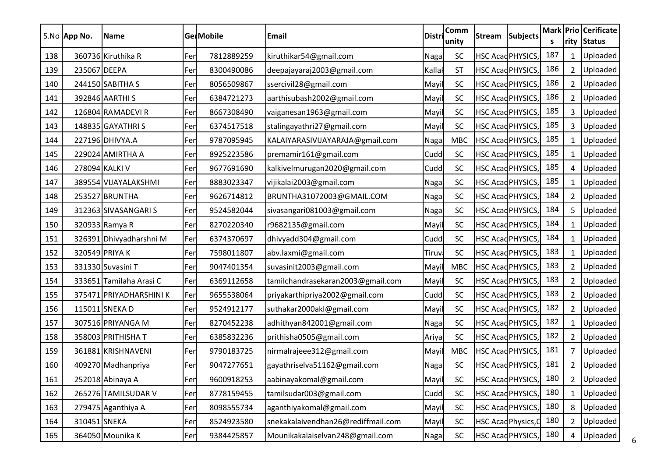|     | S.No App No. | Name                    |     | <b>Gel Mobile</b> | Email                              | Distri | Comm<br>unity | Stream Subjects     | S   |                | Mark Prio Cerificate<br><b>Irity Status</b> |   |
|-----|--------------|-------------------------|-----|-------------------|------------------------------------|--------|---------------|---------------------|-----|----------------|---------------------------------------------|---|
| 138 |              | 360736 Kiruthika R      | Fer | 7812889259        | kiruthikar54@gmail.com             | Naga   | <b>SC</b>     | HSC Acad PHYSICS,   | 187 | 1              | Uploaded                                    |   |
| 139 | 235067 DEEPA |                         | Fer | 8300490086        | deepajayaraj2003@gmail.com         | Kalla  | <b>ST</b>     | HSC Acad PHYSICS,   | 186 | 2              | Uploaded                                    |   |
| 140 |              | 244150 SABITHA S        | Fer | 8056509867        | ssercivil28@gmail.com              | Mayi   | SC            | HSC Acad PHYSICS,   | 186 | 2              | Uploaded                                    |   |
| 141 |              | 392846 AARTHI S         | Fer | 6384721273        | aarthisubash2002@gmail.com         | Mayi   | SC            | HSC Acad PHYSICS,   | 186 | 2              | Uploaded                                    |   |
| 142 |              | 126804 RAMADEVI R       | Fer | 8667308490        | vaiganesan1963@gmail.com           | Mayi   | SC            | HSC Acad PHYSICS,   | 185 | 3              | Uploaded                                    |   |
| 143 |              | 148835 GAYATHRI S       | Fer | 6374517518        | stalingayathri27@gmail.com         | Mayi   | SC            | HSC Acad PHYSICS,   | 185 | 3              | Uploaded                                    |   |
| 144 |              | 227196 DHIVYA.A         | Fer | 9787095945        | KALAIYARASIVIJAYARAJA@gmail.com    | Naga   | <b>MBC</b>    | HSC Acad PHYSICS,   | 185 | 1              | Uploaded                                    |   |
| 145 |              | 229024 AMIRTHA A        | Fer | 8925223586        | premamir161@gmail.com              | Cudd   | SC            | HSC Acad PHYSICS,   | 185 | 1              | Uploaded                                    |   |
| 146 |              | 278094 KALKI V          | Fer | 9677691690        | kalkivelmurugan2020@gmail.com      | Cudd   | SC            | HSC Acad PHYSICS,   | 185 | 4              | Uploaded                                    |   |
| 147 |              | 389554 VIJAYALAKSHMI    | Fer | 8883023347        | vijikalai2003@gmail.com            | Naga   | SC            | HSC Acad PHYSICS,   | 185 | 1              | Uploaded                                    |   |
| 148 |              | 253527 BRUNTHA          | Fer | 9626714812        | BRUNTHA31072003@GMAIL.COM          | Naga   | SC            | HSC Acad PHYSICS,   | 184 | 2              | Uploaded                                    |   |
| 149 |              | 312363 SIVASANGARI S    | Fer | 9524582044        | sivasangari081003@gmail.com        | Naga   | SC            | HSC Acad PHYSICS,   | 184 | 5              | Uploaded                                    |   |
| 150 |              | 320933 Ramya R          | Fer | 8270220340        | r9682135@gmail.com                 | Mayi   | SC            | HSC Acad PHYSICS,   | 184 | 1              | Uploaded                                    |   |
| 151 |              | 326391 Dhivyadharshni M | Fer | 6374370697        | dhivyadd304@gmail.com              | Cudd.  | SC            | HSC Acad PHYSICS,   | 184 | 1              | Uploaded                                    |   |
| 152 |              | 320549 PRIYA K          | Fer | 7598011807        | abv.laxmi@gmail.com                | Tiruva | SC            | HSC Acad PHYSICS,   | 183 | 1              | Uploaded                                    |   |
| 153 |              | 331330 Suvasini T       | Fer | 9047401354        | suvasinit2003@gmail.com            | Mayil  | <b>MBC</b>    | HSC Acad PHYSICS,   | 183 | $\overline{2}$ | Uploaded                                    |   |
| 154 |              | 333651 Tamilaha Arasi C | Fer | 6369112658        | tamilchandrasekaran2003@gmail.com  | Mayi   | SC            | HSC Acad PHYSICS,   | 183 | $\overline{2}$ | Uploaded                                    |   |
| 155 |              | 375471 PRIYADHARSHINI K | Fer | 9655538064        | priyakarthipriya2002@gmail.com     | Cudd   | SC            | HSC Acad PHYSICS,   | 183 | $\overline{2}$ | Uploaded                                    |   |
| 156 |              | 115011 SNEKA D          | Fer | 9524912177        | suthakar2000akl@gmail.com          | Mayi   | SC            | HSC Acad PHYSICS,   | 182 | 2              | Uploaded                                    |   |
| 157 |              | 307516 PRIYANGA M       | Fer | 8270452238        | adhithyan842001@gmail.com          | Naga   | SC            | HSC Acad PHYSICS,   | 182 | 1              | Uploaded                                    |   |
| 158 |              | 358003 PRITHISHA T      | Fer | 6385832236        | prithisha0505@gmail.com            | Ariyal | SC            | HSC Acad PHYSICS,   | 182 | 2              | Uploaded                                    |   |
| 159 |              | 361881 KRISHNAVENI      | Fer | 9790183725        | nirmalrajeee312@gmail.com          | Mayi   | <b>MBC</b>    | HSC Acad PHYSICS,   | 181 |                | Uploaded                                    |   |
| 160 |              | 409270 Madhanpriya      | Fer | 9047277651        | gayathriselva51162@gmail.com       | Naga   | <b>SC</b>     | HSC Acad PHYSICS,   | 181 | 2              | Uploaded                                    |   |
| 161 |              | 252018 Abinaya A        | Fer | 9600918253        | aabinayakomal@gmail.com            | Mayil  | SC            | HSC Acad PHYSICS,   | 180 | $\overline{2}$ | Uploaded                                    |   |
| 162 |              | 265276 TAMILSUDAR V     | Fer | 8778159455        | tamilsudar003@gmail.com            | Cudd.  | SC            | HSC Acad PHYSICS,   | 180 | 1              | Uploaded                                    |   |
| 163 |              | 279475 Aganthiya A      | Fer | 8098555734        | aganthiyakomal@gmail.com           | Mayil  | SC            | HSC Acad PHYSICS,   | 180 | 8              | Uploaded                                    |   |
| 164 | 310451 SNEKA |                         | Fer | 8524923580        | snekakalaivendhan26@rediffmail.com | Mayil  | SC            | HSC Acad Physics, C | 180 | $\overline{2}$ | Uploaded                                    |   |
| 165 |              | 364050 Mounika K        | Fer | 9384425857        | Mounikakalaiselvan248@gmail.com    | Naga   | SC            | HSC Acad PHYSICS,   | 180 | 4              | Uploaded                                    | 6 |